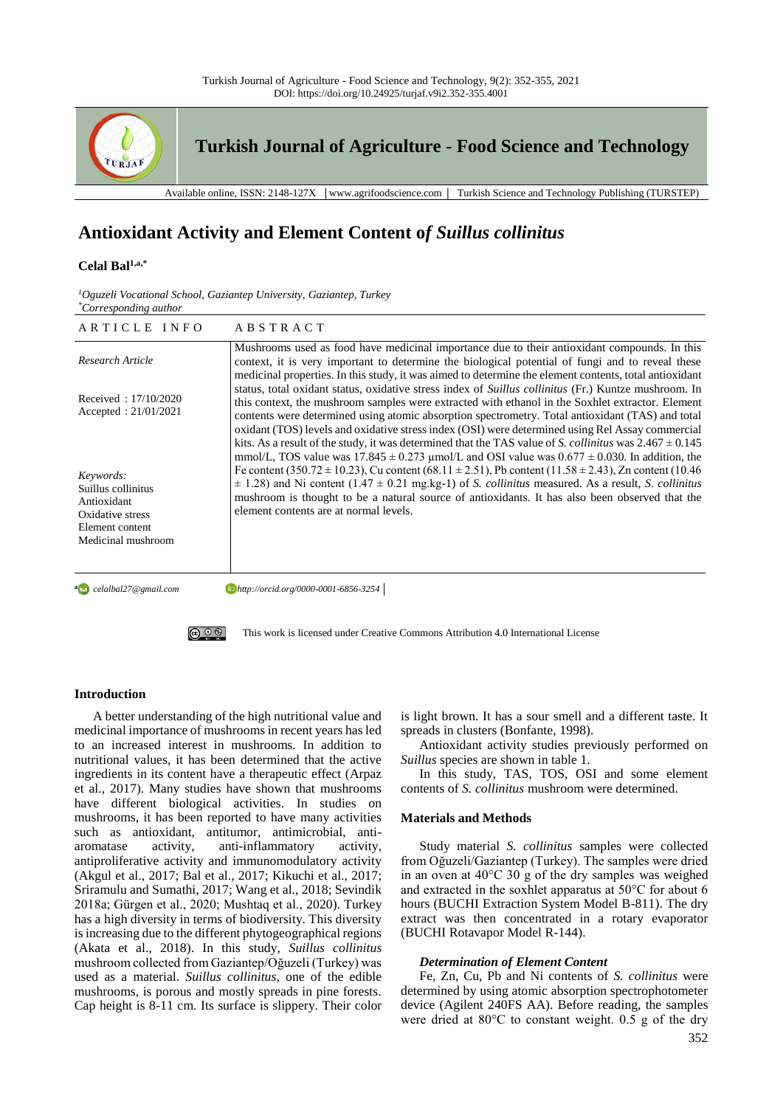

# **Antioxidant Activity and Element Content o***f Suillus collinitus*

### **Celal Bal1,a,\***

| $^{1}$ Oguzeli Vocational School, Gaziantep University, Gaziantep, Turkey |  |  |
|---------------------------------------------------------------------------|--|--|
| <i>*Corresponding author</i>                                              |  |  |

| ARTICLE INFO                                                                                                | <b>ABSTRACT</b>                                                                                                                                                                                                                                                                                                                                                                                                                                                                                                                  |
|-------------------------------------------------------------------------------------------------------------|----------------------------------------------------------------------------------------------------------------------------------------------------------------------------------------------------------------------------------------------------------------------------------------------------------------------------------------------------------------------------------------------------------------------------------------------------------------------------------------------------------------------------------|
| Research Article                                                                                            | Mushrooms used as food have medicinal importance due to their antioxidant compounds. In this<br>context, it is very important to determine the biological potential of fungi and to reveal these<br>medicinal properties. In this study, it was aimed to determine the element contents, total antioxidant                                                                                                                                                                                                                       |
| Received: $17/10/2020$<br>Accepted: $21/01/2021$                                                            | status, total oxidant status, oxidative stress index of Suillus collinitus (Fr.) Kuntze mushroom. In<br>this context, the mushroom samples were extracted with ethanol in the Soxhlet extractor. Element<br>contents were determined using atomic absorption spectrometry. Total antioxidant (TAS) and total<br>oxidant (TOS) levels and oxidative stress index (OSI) were determined using Rel Assay commercial<br>kits. As a result of the study, it was determined that the TAS value of S. collinities was $2.467 \pm 0.145$ |
| Keywords:<br>Suillus collinitus<br>Antioxidant<br>Oxidative stress<br>Element content<br>Medicinal mushroom | mmol/L, TOS value was $17.845 \pm 0.273$ µmol/L and OSI value was $0.677 \pm 0.030$ . In addition, the<br>Fe content (350.72 $\pm$ 10.23), Cu content (68.11 $\pm$ 2.51), Pb content (11.58 $\pm$ 2.43), Zn content (10.46<br>$\pm$ 1.28) and Ni content (1.47 $\pm$ 0.21 mg.kg-1) of S. collinitus measured. As a result, S. collinitus<br>mushroom is thought to be a natural source of antioxidants. It has also been observed that the<br>element contents are at normal levels.                                             |
| a celalbal27@gmail.com                                                                                      | http://orcid.org/0000-0001-6856-3254                                                                                                                                                                                                                                                                                                                                                                                                                                                                                             |



[This work is licensed under Creative Commons Attribution 4.0 International License](http://creativecommons.org/licenses/by-nc/4.0/)

#### **Introduction**

A better understanding of the high nutritional value and medicinal importance of mushrooms in recent years has led to an increased interest in mushrooms. In addition to nutritional values, it has been determined that the active ingredients in its content have a therapeutic effect (Arpaz et al., 2017). Many studies have shown that mushrooms have different biological activities. In studies on mushrooms, it has been reported to have many activities such as antioxidant, antitumor, antimicrobial, antiaromatase activity, anti-inflammatory activity, antiproliferative activity and immunomodulatory activity (Akgul et al., 2017; Bal et al., 2017; Kikuchi et al., 2017; Sriramulu and Sumathi, 2017; Wang et al., 2018; Sevindik 2018a; Gürgen et al., 2020; Mushtaq et al., 2020). Turkey has a high diversity in terms of biodiversity. This diversity is increasing due to the different phytogeographical regions (Akata et al., 2018). In this study, *Suillus collinitus* mushroom collected from Gaziantep/Oğuzeli (Turkey) was used as a material. *Suillus collinitus*, one of the edible mushrooms, is porous and mostly spreads in pine forests. Cap height is 8-11 cm. Its surface is slippery. Their color is light brown. It has a sour smell and a different taste. It spreads in clusters (Bonfante, 1998).

Antioxidant activity studies previously performed on *Suillus* species are shown in table 1.

In this study, TAS, TOS, OSI and some element contents of *S. collinitus* mushroom were determined.

#### **Materials and Methods**

Study material *S. collinitus* samples were collected from Oğuzeli/Gaziantep (Turkey). The samples were dried in an oven at 40°C 30 g of the dry samples was weighed and extracted in the soxhlet apparatus at 50°C for about 6 hours (BUCHI Extraction System Model B-811). The dry extract was then concentrated in a rotary evaporator (BUCHI Rotavapor Model R-144).

#### *Determination of Element Content*

Fe, Zn, Cu, Pb and Ni contents of *S. collinitus* were determined by using atomic absorption spectrophotometer device (Agilent 240FS AA). Before reading, the samples were dried at 80°C to constant weight. 0.5 g of the dry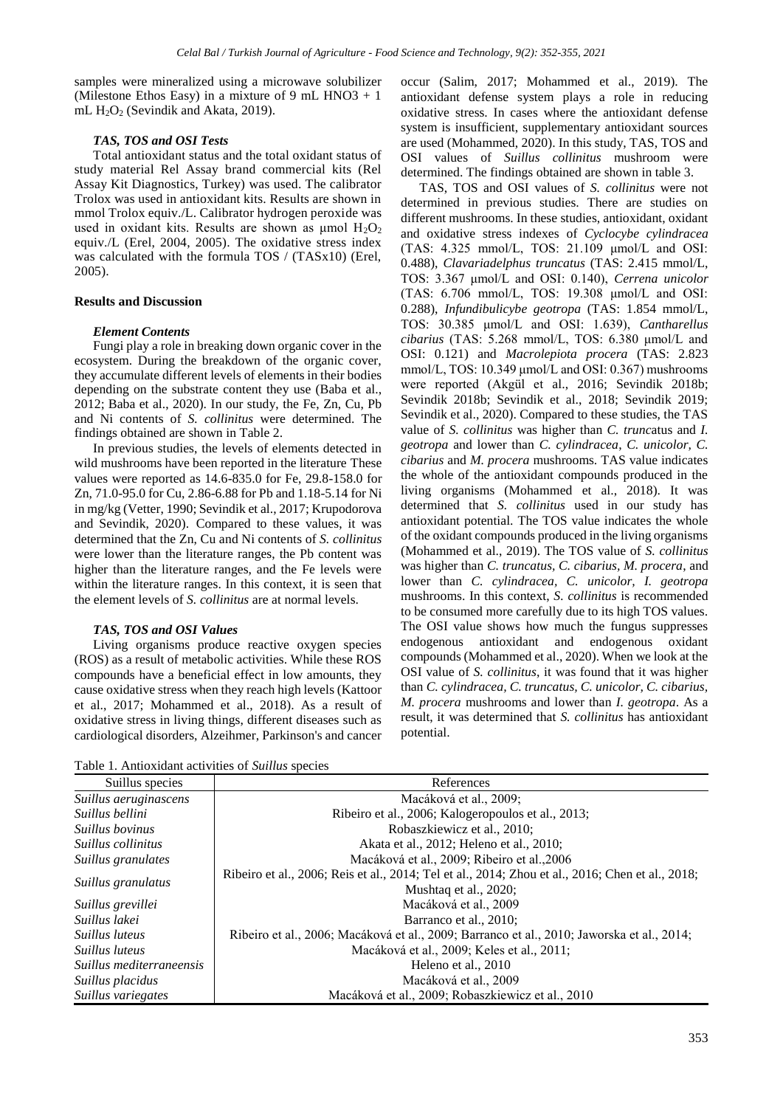samples were mineralized using a microwave solubilizer (Milestone Ethos Easy) in a mixture of 9 mL HNO3  $+1$ mL  $H_2O_2$  (Sevindik and Akata, 2019).

## *TAS, TOS and OSI Tests*

Total antioxidant status and the total oxidant status of study material Rel Assay brand commercial kits (Rel Assay Kit Diagnostics, Turkey) was used. The calibrator Trolox was used in antioxidant kits. Results are shown in mmol Trolox equiv./L. Calibrator hydrogen peroxide was used in oxidant kits. Results are shown as  $\mu$ mol  $H_2O_2$ equiv./L (Erel, 2004, 2005). The oxidative stress index was calculated with the formula TOS / (TASx10) (Erel, 2005).

#### **Results and Discussion**

#### *Element Contents*

Fungi play a role in breaking down organic cover in the ecosystem. During the breakdown of the organic cover, they accumulate different levels of elements in their bodies depending on the substrate content they use (Baba et al., 2012; Baba et al., 2020). In our study, the Fe, Zn, Cu, Pb and Ni contents of *S. collinitus* were determined. The findings obtained are shown in Table 2.

In previous studies, the levels of elements detected in wild mushrooms have been reported in the literature These values were reported as 14.6-835.0 for Fe, 29.8-158.0 for Zn, 71.0-95.0 for Cu, 2.86-6.88 for Pb and 1.18-5.14 for Ni in mg/kg (Vetter, 1990; Sevindik et al., 2017; Krupodorova and Sevindik, 2020). Compared to these values, it was determined that the Zn, Cu and Ni contents of *S. collinitus* were lower than the literature ranges, the Pb content was higher than the literature ranges, and the Fe levels were within the literature ranges. In this context, it is seen that the element levels of *S. collinitus* are at normal levels.

## *TAS, TOS and OSI Values*

Living organisms produce reactive oxygen species (ROS) as a result of metabolic activities. While these ROS compounds have a beneficial effect in low amounts, they cause oxidative stress when they reach high levels (Kattoor et al., 2017; Mohammed et al., 2018). As a result of oxidative stress in living things, different diseases such as cardiological disorders, Alzeihmer, Parkinson's and cancer occur (Salim, 2017; Mohammed et al., 2019). The antioxidant defense system plays a role in reducing oxidative stress. In cases where the antioxidant defense system is insufficient, supplementary antioxidant sources are used (Mohammed, 2020). In this study, TAS, TOS and OSI values of *Suillus collinitus* mushroom were determined. The findings obtained are shown in table 3.

TAS, TOS and OSI values of *S. collinitus* were not determined in previous studies. There are studies on different mushrooms. In these studies, antioxidant, oxidant and oxidative stress indexes of *Cyclocybe cylindracea* (TAS: 4.325 mmol/L, TOS: 21.109 μmol/L and OSI: 0.488), *Clavariadelphus truncatus* (TAS: 2.415 mmol/L, TOS: 3.367 μmol/L and OSI: 0.140), *Cerrena unicolor* (TAS: 6.706 mmol/L, TOS: 19.308 μmol/L and OSI: 0.288), *Infundibulicybe geotropa* (TAS: 1.854 mmol/L, TOS: 30.385 μmol/L and OSI: 1.639), *Cantharellus cibarius* (TAS: 5.268 mmol/L, TOS: 6.380 μmol/L and OSI: 0.121) and *Macrolepiota procera* (TAS: 2.823 mmol/L, TOS: 10.349 μmol/L and OSI: 0.367) mushrooms were reported (Akgül et al., 2016; Sevindik 2018b; Sevindik 2018b; Sevindik et al., 2018; Sevindik 2019; Sevindik et al., 2020). Compared to these studies, the TAS value of *S. collinitus* was higher than *C. trunc*atus and *I. geotropa* and lower than *C. cylindracea*, *C. unicolor, C. cibarius* and *M. procera* mushrooms. TAS value indicates the whole of the antioxidant compounds produced in the living organisms (Mohammed et al., 2018). It was determined that *S. collinitus* used in our study has antioxidant potential. The TOS value indicates the whole of the oxidant compounds produced in the living organisms (Mohammed et al., 2019). The TOS value of *S. collinitus*  was higher than *C. truncatus, C. cibarius, M. procera*, and lower than *C. cylindracea, C. unicolor, I. geotropa* mushrooms. In this context, *S. collinitus* is recommended to be consumed more carefully due to its high TOS values. The OSI value shows how much the fungus suppresses endogenous antioxidant and endogenous oxidant compounds (Mohammed et al., 2020). When we look at the OSI value of *S. collinitus*, it was found that it was higher than *C. cylindracea, C. truncatus, C. unicolor, C. cibarius, M. procera* mushrooms and lower than *I. geotropa*. As a result, it was determined that *S. collinitus* has antioxidant potential.

Table 1. Antioxidant activities of *Suillus* species

| Suillus species          | References                                                                                       |  |  |
|--------------------------|--------------------------------------------------------------------------------------------------|--|--|
| Suillus aeruginascens    | Macáková et al., 2009;                                                                           |  |  |
| Suillus bellini          | Ribeiro et al., 2006; Kalogeropoulos et al., 2013;                                               |  |  |
| Suillus bovinus          | Robaszkiewicz et al., 2010;                                                                      |  |  |
| Suillus collinitus       | Akata et al., 2012; Heleno et al., 2010;                                                         |  |  |
| Suillus granulates       | Macáková et al., 2009; Ribeiro et al., 2006                                                      |  |  |
| Suillus granulatus       | Ribeiro et al., 2006; Reis et al., 2014; Tel et al., 2014; Zhou et al., 2016; Chen et al., 2018; |  |  |
|                          | Mushtaq et al., 2020;                                                                            |  |  |
| Suillus grevillei        | Macáková et al., 2009                                                                            |  |  |
| Suillus lakei            | Barranco et al., 2010;                                                                           |  |  |
| <i>Suillus luteus</i>    | Ribeiro et al., 2006; Macáková et al., 2009; Barranco et al., 2010; Jaworska et al., 2014;       |  |  |
| Suillus luteus           | Macáková et al., 2009; Keles et al., 2011;                                                       |  |  |
| Suillus mediterraneensis | Heleno et al., 2010                                                                              |  |  |
| Suillus placidus         | Macáková et al., 2009                                                                            |  |  |
| Suillus variegates       | Macáková et al., 2009; Robaszkiewicz et al., 2010                                                |  |  |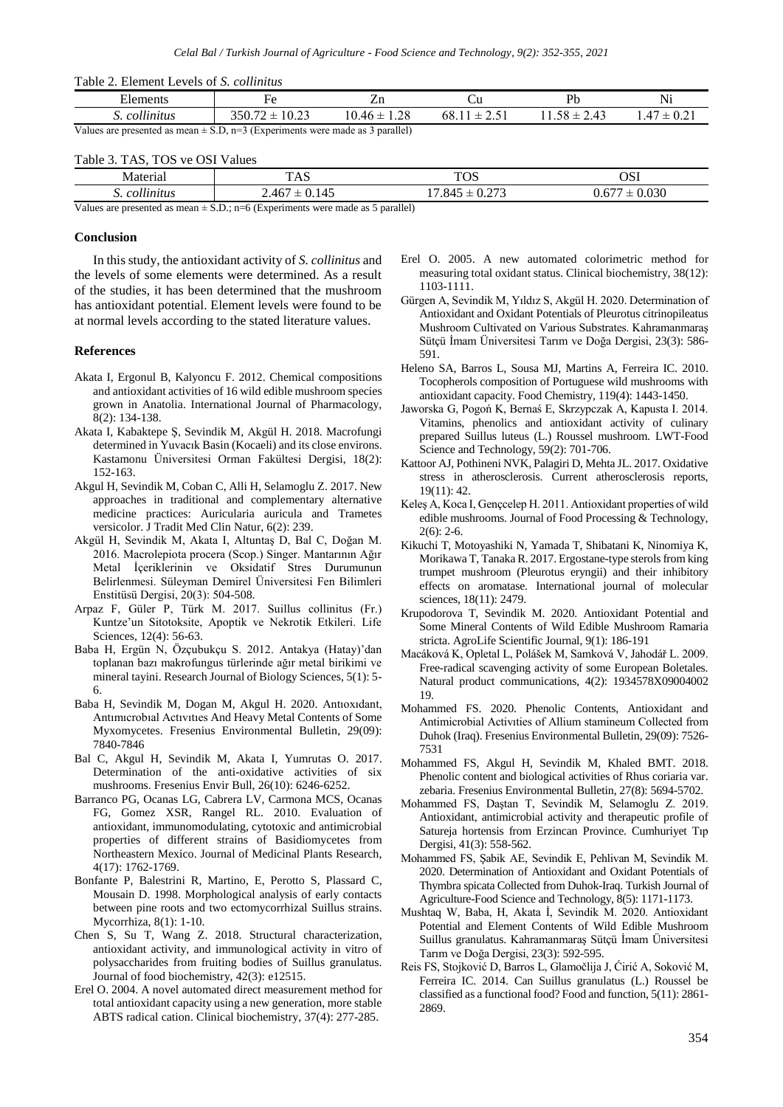| Table 2. Element Levels of S. collinitus |  |  |
|------------------------------------------|--|--|
|------------------------------------------|--|--|

|                                                                                   | .                      |                  |             |                  |               |
|-----------------------------------------------------------------------------------|------------------------|------------------|-------------|------------------|---------------|
| Elements                                                                          |                        |                  |             |                  | Ni            |
| collinitus                                                                        | :10.23<br>$350.72 \pm$ | $10.46 \pm 1.28$ | $68.11 \pm$ | $11.58 \pm 2.43$ | $.47 \pm 0.2$ |
| Values are presented as mean $\pm$ S.D, n=3 (Experiments were made as 3 parallel) |                        |                  |             |                  |               |

#### Table 3. TAS, TOS ve OSI Values

| Materia.                               | <b>TAC</b><br>T UD                                                 | $T\cap C$<br><b>LOD</b>                                                 | OSI                                       |
|----------------------------------------|--------------------------------------------------------------------|-------------------------------------------------------------------------|-------------------------------------------|
| $\cdots$<br>collinitus<br>ົ            | . .<br>$\sqrt{6}$<br>0.145<br>40,<br>ᅩ<br>$\overline{\phantom{a}}$ | $\sim$<br>$\mathbf{A}$<br>- י<br>.84J<br>--<br>$\cup$ . $\sim$ 1 $\sim$ | 0.020<br>$\sim$<br>-<br>U.UJU<br>J.U<br>ᅩ |
| $\mathbf{v}$ $\mathbf{v}$ $\mathbf{v}$ | $\sim$ $\sim$<br>$\sim$ $\sim$                                     | $-4.4 - 4.5$<br>-                                                       |                                           |

Values are presented as mean  $\pm$  S.D.; n=6 (Experiments were made as 5 parallel)

### **Conclusion**

In this study, the antioxidant activity of *S. collinitus* and the levels of some elements were determined. As a result of the studies, it has been determined that the mushroom has antioxidant potential. Element levels were found to be at normal levels according to the stated literature values.

#### **References**

- Akata I, Ergonul B, Kalyoncu F. 2012. Chemical compositions and antioxidant activities of 16 wild edible mushroom species grown in Anatolia. International Journal of Pharmacology, 8(2): 134-138.
- Akata I, Kabaktepe Ş, Sevindik M, Akgül H. 2018. Macrofungi determined in Yuvacık Basin (Kocaeli) and its close environs. Kastamonu Üniversitesi Orman Fakültesi Dergisi, 18(2): 152-163.
- Akgul H, Sevindik M, Coban C, Alli H, Selamoglu Z. 2017. New approaches in traditional and complementary alternative medicine practices: Auricularia auricula and Trametes versicolor. J Tradit Med Clin Natur, 6(2): 239.
- Akgül H, Sevindik M, Akata I, Altuntaş D, Bal C, Doğan M. 2016. Macrolepiota procera (Scop.) Singer. Mantarının Ağır Metal İçeriklerinin ve Oksidatif Stres Durumunun Belirlenmesi. Süleyman Demirel Üniversitesi Fen Bilimleri Enstitüsü Dergisi, 20(3): 504-508.
- Arpaz F, Güler P, Türk M. 2017. Suillus collinitus (Fr.) Kuntze'un Sitotoksite, Apoptik ve Nekrotik Etkileri. Life Sciences, 12(4): 56-63.
- Baba H, Ergün N, Özçubukçu S. 2012. Antakya (Hatay)'dan toplanan bazı makrofungus türlerinde ağır metal birikimi ve mineral tayini. Research Journal of Biology Sciences, 5(1): 5- 6.
- Baba H, Sevindik M, Dogan M, Akgul H. 2020. Antıoxıdant, Antımıcrobıal Actıvıtıes And Heavy Metal Contents of Some Myxomycetes. Fresenius Environmental Bulletin, 29(09): 7840-7846
- Bal C, Akgul H, Sevindik M, Akata I, Yumrutas O. 2017. Determination of the anti-oxidative activities of six mushrooms. Fresenius Envir Bull, 26(10): 6246-6252.
- Barranco PG, Ocanas LG, Cabrera LV, Carmona MCS, Ocanas FG, Gomez XSR, Rangel RL. 2010. Evaluation of antioxidant, immunomodulating, cytotoxic and antimicrobial properties of different strains of Basidiomycetes from Northeastern Mexico. Journal of Medicinal Plants Research, 4(17): 1762-1769.
- Bonfante P, Balestrini R, Martino, E, Perotto S, Plassard C, Mousain D. 1998. Morphological analysis of early contacts between pine roots and two ectomycorrhizal Suillus strains. Mycorrhiza, 8(1): 1-10.
- Chen S, Su T, Wang Z. 2018. Structural characterization, antioxidant activity, and immunological activity in vitro of polysaccharides from fruiting bodies of Suillus granulatus. Journal of food biochemistry, 42(3): e12515.
- Erel O. 2004. A novel automated direct measurement method for total antioxidant capacity using a new generation, more stable ABTS radical cation. Clinical biochemistry, 37(4): 277-285.
- Erel O. 2005. A new automated colorimetric method for measuring total oxidant status. Clinical biochemistry, 38(12): 1103-1111.
- Gürgen A, Sevindik M, Yıldız S, Akgül H. 2020. Determination of Antioxidant and Oxidant Potentials of Pleurotus citrinopileatus Mushroom Cultivated on Various Substrates. Kahramanmaraş Sütçü İmam Üniversitesi Tarım ve Doğa Dergisi, 23(3): 586- 591.
- Heleno SA, Barros L, Sousa MJ, Martins A, Ferreira IC. 2010. Tocopherols composition of Portuguese wild mushrooms with antioxidant capacity. Food Chemistry, 119(4): 1443-1450.
- Jaworska G, Pogoń K, Bernaś E, Skrzypczak A, Kapusta I. 2014. Vitamins, phenolics and antioxidant activity of culinary prepared Suillus luteus (L.) Roussel mushroom. LWT-Food Science and Technology, 59(2): 701-706.
- Kattoor AJ, Pothineni NVK, Palagiri D, Mehta JL. 2017. Oxidative stress in atherosclerosis. Current atherosclerosis reports, 19(11): 42.
- Keleş A, Koca I, Gençcelep H. 2011. Antioxidant properties of wild edible mushrooms. Journal of Food Processing & Technology,  $2(6)$ : 2-6.
- Kikuchi T, Motoyashiki N, Yamada T, Shibatani K, Ninomiya K, Morikawa T, Tanaka R. 2017. Ergostane-type sterols from king trumpet mushroom (Pleurotus eryngii) and their inhibitory effects on aromatase. International journal of molecular sciences, 18(11): 2479.
- Krupodorova T, Sevindik M. 2020. Antioxidant Potential and Some Mineral Contents of Wild Edible Mushroom Ramaria stricta. AgroLife Scientific Journal, 9(1): 186-191
- Macáková K, Opletal L, Polášek M, Samková V, Jahodář L. 2009. Free-radical scavenging activity of some European Boletales. Natural product communications, 4(2): 1934578X09004002 19.
- Mohammed FS. 2020. Phenolic Contents, Antioxidant and Antimicrobial Activıties of Allium stamineum Collected from Duhok (Iraq). Fresenius Environmental Bulletin, 29(09): 7526- 7531
- Mohammed FS, Akgul H, Sevindik M, Khaled BMT. 2018. Phenolic content and biological activities of Rhus coriaria var. zebaria. Fresenius Environmental Bulletin, 27(8): 5694-5702.
- Mohammed FS, Daştan T, Sevindik M, Selamoglu Z. 2019. Antioxidant, antimicrobial activity and therapeutic profile of Satureja hortensis from Erzincan Province. Cumhuriyet Tıp Dergisi, 41(3): 558-562.
- Mohammed FS, Şabik AE, Sevindik E, Pehlivan M, Sevindik M. 2020. Determination of Antioxidant and Oxidant Potentials of Thymbra spicata Collected from Duhok-Iraq. Turkish Journal of Agriculture-Food Science and Technology, 8(5): 1171-1173.
- Mushtaq W, Baba, H, Akata İ, Sevindik M. 2020. Antioxidant Potential and Element Contents of Wild Edible Mushroom Suillus granulatus. Kahramanmaraş Sütçü İmam Üniversitesi Tarım ve Doğa Dergisi, 23(3): 592-595.
- Reis FS, Stojković D, Barros L, Glamočlija J, Ćirić A, Soković M, Ferreira IC. 2014. Can Suillus granulatus (L.) Roussel be classified as a functional food? Food and function, 5(11): 2861- 2869.